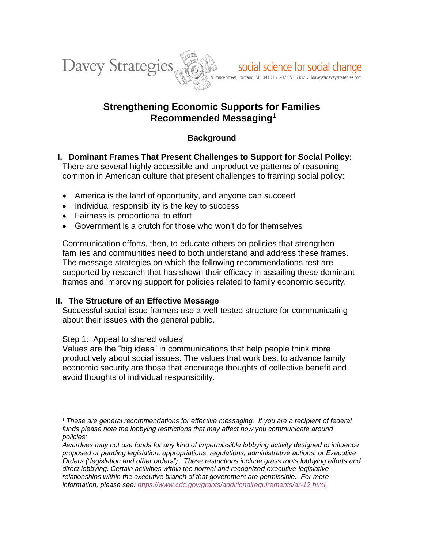

# **Strengthening Economic Supports for Families Recommended Messaging<sup>1</sup>**

## **Background**

- **I. Dominant Frames That Present Challenges to Support for Social Policy:** There are several highly accessible and unproductive patterns of reasoning common in American culture that present challenges to framing social policy:
	- America is the land of opportunity, and anyone can succeed
	- Individual responsibility is the key to success
	- Fairness is proportional to effort
	- Government is a crutch for those who won't do for themselves

Communication efforts, then, to educate others on policies that strengthen families and communities need to both understand and address these frames. The message strategies on which the following recommendations rest are supported by research that has shown their efficacy in assailing these dominant frames and improving support for policies related to family economic security.

### **II. The Structure of an Effective Message**

Successful social issue framers use a well-tested structure for communicating about their issues with the general public.

### Step 1: Appeal to shared values<sup>i</sup>

Values are the "big ideas" in communications that help people think more productively about social issues. The values that work best to advance family economic security are those that encourage thoughts of collective benefit and avoid thoughts of individual responsibility.

 $\overline{a}$ <sup>1</sup> *These are general recommendations for effective messaging. If you are a recipient of federal funds please note the lobbying restrictions that may affect how you communicate around policies:*

*Awardees may not use funds for any kind of impermissible lobbying activity designed to influence proposed or pending legislation, appropriations, regulations, administrative actions, or Executive Orders ("legislation and other orders"). These restrictions include grass roots lobbying efforts and direct lobbying. Certain activities within the normal and recognized executive-legislative relationships within the executive branch of that government are permissible. For more information, please see: <https://www.cdc.gov/grants/additionalrequirements/ar-12.html>*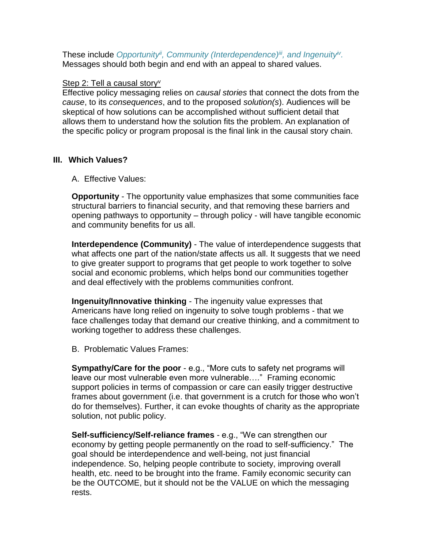These include *Opportunityii, Community (Interdependence)iii , and Ingenuityiv .* Messages should both begin and end with an appeal to shared values.

### Step 2: Tell a causal story<sup>v</sup>

Effective policy messaging relies on *causal stories* that connect the dots from the *cause*, to its *consequences*, and to the proposed *solution(s*). Audiences will be skeptical of how solutions can be accomplished without sufficient detail that allows them to understand how the solution fits the problem. An explanation of the specific policy or program proposal is the final link in the causal story chain.

### **III. Which Values?**

A. Effective Values:

**Opportunity** - The opportunity value emphasizes that some communities face structural barriers to financial security, and that removing these barriers and opening pathways to opportunity – through policy - will have tangible economic and community benefits for us all.

**Interdependence (Community)** - The value of interdependence suggests that what affects one part of the nation/state affects us all. It suggests that we need to give greater support to programs that get people to work together to solve social and economic problems, which helps bond our communities together and deal effectively with the problems communities confront.

**Ingenuity/Innovative thinking** - The ingenuity value expresses that Americans have long relied on ingenuity to solve tough problems - that we face challenges today that demand our creative thinking, and a commitment to working together to address these challenges.

B. Problematic Values Frames:

**Sympathy/Care for the poor** - e.g., "More cuts to safety net programs will leave our most vulnerable even more vulnerable…." Framing economic support policies in terms of compassion or care can easily trigger destructive frames about government (i.e. that government is a crutch for those who won't do for themselves). Further, it can evoke thoughts of charity as the appropriate solution, not public policy.

**Self-sufficiency/Self-reliance frames** - e.g., "We can strengthen our economy by getting people permanently on the road to self-sufficiency." The goal should be interdependence and well-being, not just financial independence. So, helping people contribute to society, improving overall health, etc. need to be brought into the frame. Family economic security can be the OUTCOME, but it should not be the VALUE on which the messaging rests.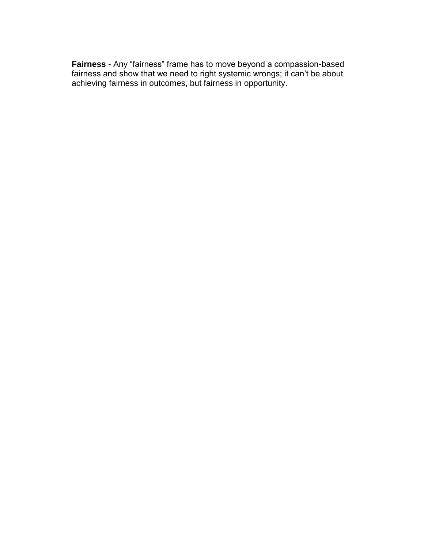**Fairness** - Any "fairness" frame has to move beyond a compassion-based fairness and show that we need to right systemic wrongs; it can't be about achieving fairness in outcomes, but fairness in opportunity.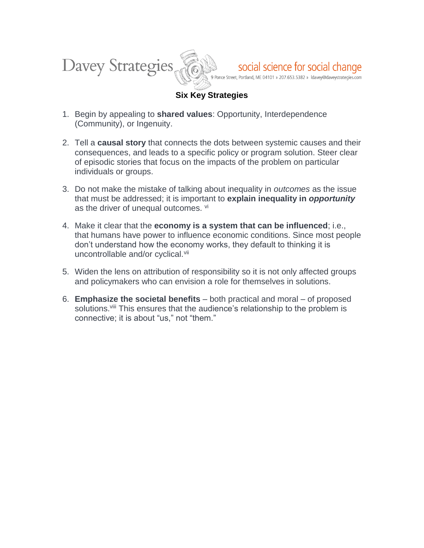

## **Six Key Strategies**

- 1. Begin by appealing to **shared values**: Opportunity, Interdependence (Community), or Ingenuity.
- 2. Tell a **causal story** that connects the dots between systemic causes and their consequences, and leads to a specific policy or program solution. Steer clear of episodic stories that focus on the impacts of the problem on particular individuals or groups.
- 3. Do not make the mistake of talking about inequality in *outcomes* as the issue that must be addressed; it is important to **explain inequality in** *opportunity* as the driver of unequal outcomes. vi
- 4. Make it clear that the **economy is a system that can be influenced**; i.e., that humans have power to influence economic conditions. Since most people don't understand how the economy works, they default to thinking it is uncontrollable and/or cyclical.<sup>vii</sup>
- 5. Widen the lens on attribution of responsibility so it is not only affected groups and policymakers who can envision a role for themselves in solutions.
- 6. **Emphasize the societal benefits** both practical and moral of proposed solutions.<sup>viii</sup> This ensures that the audience's relationship to the problem is connective; it is about "us," not "them."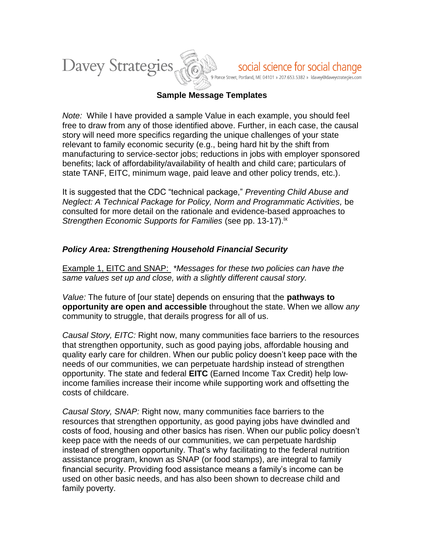

### **Sample Message Templates**

*Note:* While I have provided a sample Value in each example, you should feel free to draw from any of those identified above. Further, in each case, the causal story will need more specifics regarding the unique challenges of your state relevant to family economic security (e.g., being hard hit by the shift from manufacturing to service-sector jobs; reductions in jobs with employer sponsored benefits; lack of affordability/availability of health and child care; particulars of state TANF, EITC, minimum wage, paid leave and other policy trends, etc.).

It is suggested that the CDC "technical package," *Preventing Child Abuse and Neglect: A Technical Package for Policy, Norm and Programmatic Activities,* be consulted for more detail on the rationale and evidence-based approaches to *Strengthen Economic Supports for Families* (see pp. 13-17). ix

### *Policy Area: Strengthening Household Financial Security*

Example 1, EITC and SNAP: *\*Messages for these two policies can have the same values set up and close, with a slightly different causal story.* 

*Value:* The future of [our state] depends on ensuring that the **pathways to opportunity are open and accessible** throughout the state. When we allow *any* community to struggle, that derails progress for all of us.

*Causal Story, EITC:* Right now, many communities face barriers to the resources that strengthen opportunity, such as good paying jobs, affordable housing and quality early care for children. When our public policy doesn't keep pace with the needs of our communities, we can perpetuate hardship instead of strengthen opportunity. The state and federal **EITC** (Earned Income Tax Credit) help lowincome families increase their income while supporting work and offsetting the costs of childcare.

*Causal Story, SNAP:* Right now, many communities face barriers to the resources that strengthen opportunity, as good paying jobs have dwindled and costs of food, housing and other basics has risen. When our public policy doesn't keep pace with the needs of our communities, we can perpetuate hardship instead of strengthen opportunity. That's why facilitating to the federal nutrition assistance program, known as SNAP (or food stamps), are integral to family financial security. Providing food assistance means a family's income can be used on other basic needs, and has also been shown to decrease child and family poverty.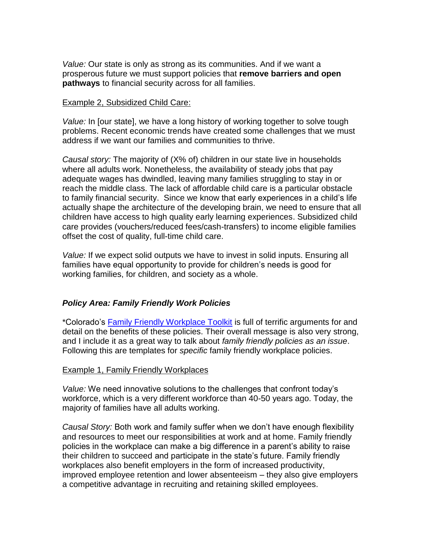*Value:* Our state is only as strong as its communities. And if we want a prosperous future we must support policies that **remove barriers and open pathways** to financial security across for all families.

#### Example 2, Subsidized Child Care:

*Value:* In [our state], we have a long history of working together to solve tough problems. Recent economic trends have created some challenges that we must address if we want our families and communities to thrive.

*Causal story:* The majority of (X% of) children in our state live in households where all adults work. Nonetheless, the availability of steady jobs that pay adequate wages has dwindled, leaving many families struggling to stay in or reach the middle class. The lack of affordable child care is a particular obstacle to family financial security. Since we know that early experiences in a child's life actually shape the architecture of the developing brain, we need to ensure that all children have access to high quality early learning experiences. Subsidized child care provides (vouchers/reduced fees/cash-transfers) to income eligible families offset the cost of quality, full-time child care.

*Value:* If we expect solid outputs we have to invest in solid inputs. Ensuring all families have equal opportunity to provide for children's needs is good for working families, for children, and society as a whole.

### *Policy Area: Family Friendly Work Policies*

\*Colorado's [Family Friendly Workplace Toolkit](http://eccp.civiccanopy.org/resources/toolkits/family-friendly-workplace-toolkit/) is full of terrific arguments for and detail on the benefits of these policies. Their overall message is also very strong, and I include it as a great way to talk about *family friendly policies as an issue*. Following this are templates for *specific* family friendly workplace policies.

#### Example 1, Family Friendly Workplaces

*Value:* We need innovative solutions to the challenges that confront today's workforce, which is a very different workforce than 40-50 years ago. Today, the majority of families have all adults working.

*Causal Story:* Both work and family suffer when we don't have enough flexibility and resources to meet our responsibilities at work and at home. Family friendly policies in the workplace can make a big difference in a parent's ability to raise their children to succeed and participate in the state's future. Family friendly workplaces also benefit employers in the form of increased productivity, improved employee retention and lower absenteeism – they also give employers a competitive advantage in recruiting and retaining skilled employees.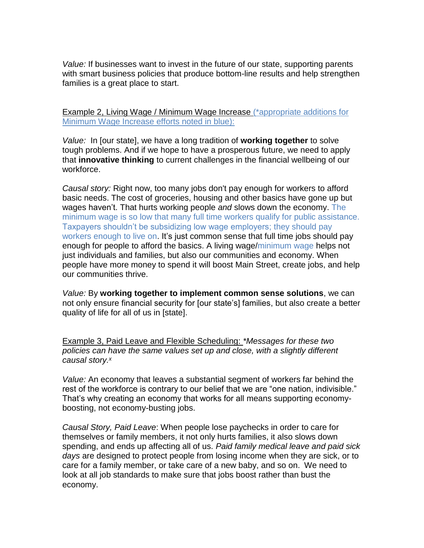*Value:* If businesses want to invest in the future of our state, supporting parents with smart business policies that produce bottom-line results and help strengthen families is a great place to start.

Example 2, Living Wage / Minimum Wage Increase (\*appropriate additions for Minimum Wage Increase efforts noted in blue):

*Value:* In [our state], we have a long tradition of **working together** to solve tough problems. And if we hope to have a prosperous future, we need to apply that **innovative thinking** to current challenges in the financial wellbeing of our workforce.

*Causal story:* Right now, too many jobs don't pay enough for workers to afford basic needs. The cost of groceries, housing and other basics have gone up but wages haven't. That hurts working people *and* slows down the economy. The minimum wage is so low that many full time workers qualify for public assistance. Taxpayers shouldn't be subsidizing low wage employers; they should pay workers enough to live on. It's just common sense that full time jobs should pay enough for people to afford the basics. A living wage/minimum wage helps not just individuals and families, but also our communities and economy. When people have more money to spend it will boost Main Street, create jobs, and help our communities thrive.

*Value:* By **working together to implement common sense solutions**, we can not only ensure financial security for [our state's] families, but also create a better quality of life for all of us in [state].

Example 3, Paid Leave and Flexible Scheduling: *\*Messages for these two policies can have the same values set up and close, with a slightly different causal story.<sup>x</sup>*

*Value:* An economy that leaves a substantial segment of workers far behind the rest of the workforce is contrary to our belief that we are "one nation, indivisible." That's why creating an economy that works for all means supporting economyboosting, not economy-busting jobs.

*Causal Story, Paid Leave*: When people lose paychecks in order to care for themselves or family members, it not only hurts families, it also slows down spending, and ends up affecting all of us. *Paid family medical leave and paid sick days* are designed to protect people from losing income when they are sick, or to care for a family member, or take care of a new baby, and so on. We need to look at all job standards to make sure that jobs boost rather than bust the economy.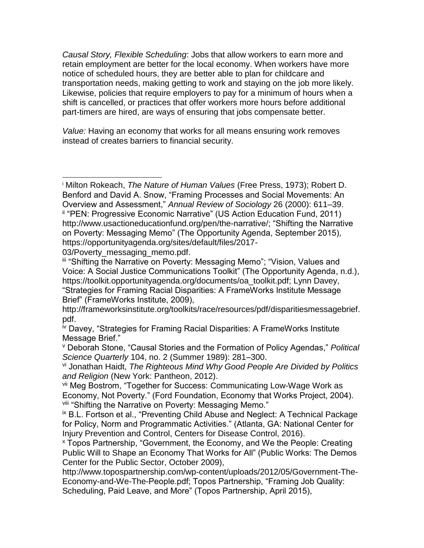*Causal Story, Flexible Scheduling*: Jobs that allow workers to earn more and retain employment are better for the local economy. When workers have more notice of scheduled hours, they are better able to plan for childcare and transportation needs, making getting to work and staying on the job more likely. Likewise, policies that require employers to pay for a minimum of hours when a shift is cancelled, or practices that offer workers more hours before additional part-timers are hired, are ways of ensuring that jobs compensate better.

*Value:* Having an economy that works for all means ensuring work removes instead of creates barriers to financial security.

03/Poverty\_messaging\_memo.pdf.

 $\overline{a}$ 

<sup>i</sup> Milton Rokeach, *The Nature of Human Values* (Free Press, 1973); Robert D. Benford and David A. Snow, "Framing Processes and Social Movements: An Overview and Assessment," *Annual Review of Sociology* 26 (2000): 611–39. ii "PEN: Progressive Economic Narrative" (US Action Education Fund, 2011) http://www.usactioneducationfund.org/pen/the-narrative/; "Shifting the Narrative on Poverty: Messaging Memo" (The Opportunity Agenda, September 2015), https://opportunityagenda.org/sites/default/files/2017-

III "Shifting the Narrative on Poverty: Messaging Memo"; "Vision, Values and Voice: A Social Justice Communications Toolkit" (The Opportunity Agenda, n.d.), https://toolkit.opportunityagenda.org/documents/oa\_toolkit.pdf; Lynn Davey, "Strategies for Framing Racial Disparities: A FrameWorks Institute Message Brief" (FrameWorks Institute, 2009),

http://frameworksinstitute.org/toolkits/race/resources/pdf/disparitiesmessagebrief. pdf.

iv Davey, "Strategies for Framing Racial Disparities: A FrameWorks Institute Message Brief."

<sup>v</sup> Deborah Stone, "Causal Stories and the Formation of Policy Agendas," *Political Science Quarterly* 104, no. 2 (Summer 1989): 281–300.

vi Jonathan Haidt, *The Righteous Mind Why Good People Are Divided by Politics and Religion* (New York: Pantheon, 2012).

vii Meg Bostrom, "Together for Success: Communicating Low-Wage Work as Economy, Not Poverty." (Ford Foundation, Economy that Works Project, 2004). viii "Shifting the Narrative on Poverty: Messaging Memo."

<sup>&</sup>lt;sup>ix</sup> B.L. Fortson et al., "Preventing Child Abuse and Neglect: A Technical Package for Policy, Norm and Programmatic Activities." (Atlanta, GA: National Center for Injury Prevention and Control, Centers for Disease Control, 2016).

<sup>x</sup> Topos Partnership, "Government, the Economy, and We the People: Creating Public Will to Shape an Economy That Works for All" (Public Works: The Demos Center for the Public Sector, October 2009),

http://www.topospartnership.com/wp-content/uploads/2012/05/Government-The-Economy-and-We-The-People.pdf; Topos Partnership, "Framing Job Quality: Scheduling, Paid Leave, and More" (Topos Partnership, April 2015),